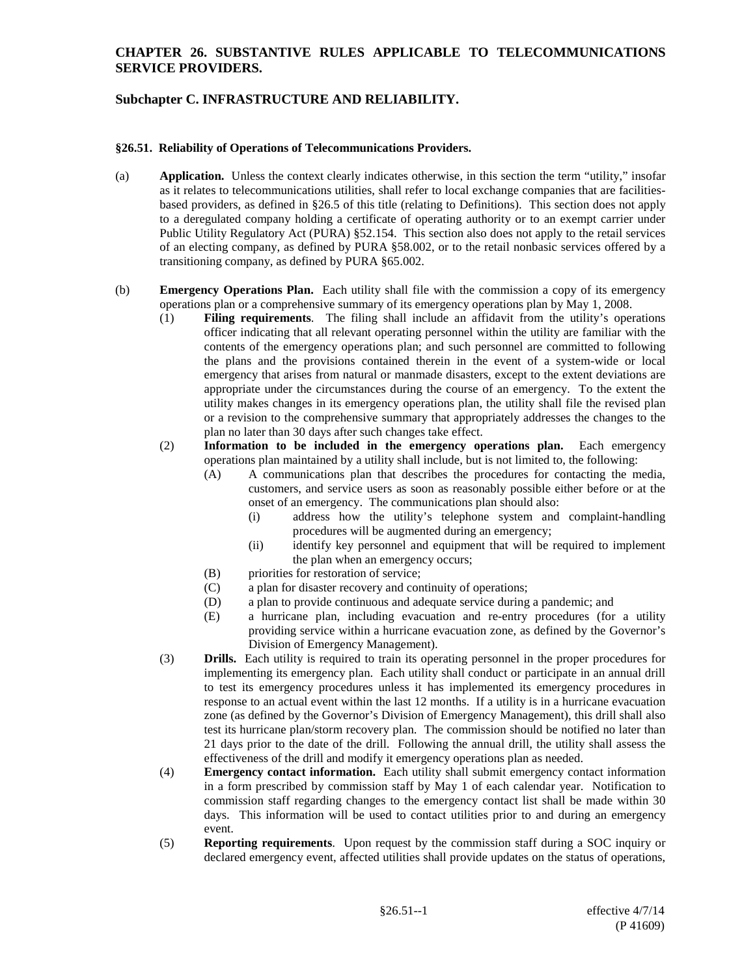## **CHAPTER 26. SUBSTANTIVE RULES APPLICABLE TO TELECOMMUNICATIONS SERVICE PROVIDERS.**

# **Subchapter C. INFRASTRUCTURE AND RELIABILITY.**

#### **§26.51. Reliability of Operations of Telecommunications Providers.**

- (a) **Application.** Unless the context clearly indicates otherwise, in this section the term "utility," insofar as it relates to telecommunications utilities, shall refer to local exchange companies that are facilitiesbased providers, as defined in §26.5 of this title (relating to Definitions). This section does not apply to a deregulated company holding a certificate of operating authority or to an exempt carrier under Public Utility Regulatory Act (PURA) §52.154. This section also does not apply to the retail services of an electing company, as defined by PURA §58.002, or to the retail nonbasic services offered by a transitioning company, as defined by PURA §65.002.
- (b) **Emergency Operations Plan.** Each utility shall file with the commission a copy of its emergency operations plan or a comprehensive summary of its emergency operations plan by May 1, 2008.
	- (1) **Filing requirements**. The filing shall include an affidavit from the utility's operations officer indicating that all relevant operating personnel within the utility are familiar with the contents of the emergency operations plan; and such personnel are committed to following the plans and the provisions contained therein in the event of a system-wide or local emergency that arises from natural or manmade disasters, except to the extent deviations are appropriate under the circumstances during the course of an emergency. To the extent the utility makes changes in its emergency operations plan, the utility shall file the revised plan or a revision to the comprehensive summary that appropriately addresses the changes to the plan no later than 30 days after such changes take effect.
	- (2) **Information to be included in the emergency operations plan.** Each emergency operations plan maintained by a utility shall include, but is not limited to, the following:
		- (A) A communications plan that describes the procedures for contacting the media, customers, and service users as soon as reasonably possible either before or at the onset of an emergency. The communications plan should also:
			- (i) address how the utility's telephone system and complaint-handling procedures will be augmented during an emergency;
			- (ii) identify key personnel and equipment that will be required to implement the plan when an emergency occurs;
		- (B) priorities for restoration of service;
		- (C) a plan for disaster recovery and continuity of operations;
		- (D) a plan to provide continuous and adequate service during a pandemic; and
		- (E) a hurricane plan, including evacuation and re-entry procedures (for a utility providing service within a hurricane evacuation zone, as defined by the Governor's Division of Emergency Management).
	- (3) **Drills.** Each utility is required to train its operating personnel in the proper procedures for implementing its emergency plan. Each utility shall conduct or participate in an annual drill to test its emergency procedures unless it has implemented its emergency procedures in response to an actual event within the last 12 months. If a utility is in a hurricane evacuation zone (as defined by the Governor's Division of Emergency Management), this drill shall also test its hurricane plan/storm recovery plan. The commission should be notified no later than 21 days prior to the date of the drill. Following the annual drill, the utility shall assess the effectiveness of the drill and modify it emergency operations plan as needed.
	- (4) **Emergency contact information.** Each utility shall submit emergency contact information in a form prescribed by commission staff by May 1 of each calendar year. Notification to commission staff regarding changes to the emergency contact list shall be made within 30 days. This information will be used to contact utilities prior to and during an emergency event.
	- (5) **Reporting requirements**. Upon request by the commission staff during a SOC inquiry or declared emergency event, affected utilities shall provide updates on the status of operations,